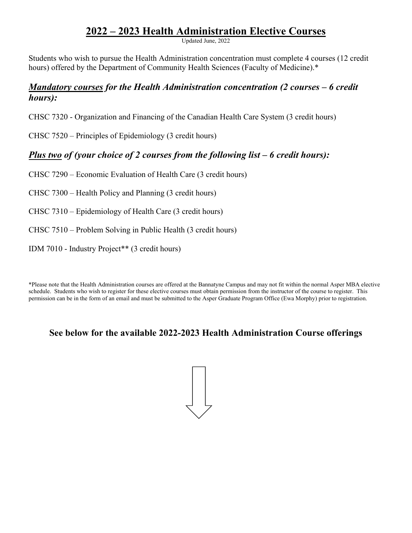# **2022 – 2023 Health Administration Elective Courses**

Updated June, 2022

Students who wish to pursue the Health Administration concentration must complete 4 courses (12 credit hours) offered by the Department of Community Health Sciences (Faculty of Medicine).\*

### *Mandatory courses for the Health Administration concentration (2 courses – 6 credit hours):*

CHSC 7320 - Organization and Financing of the Canadian Health Care System (3 credit hours)

CHSC 7520 – Principles of Epidemiology (3 credit hours)

## *Plus two of (your choice of 2 courses from the following list – 6 credit hours):*

CHSC 7290 – Economic Evaluation of Health Care (3 credit hours)

CHSC 7300 – Health Policy and Planning (3 credit hours)

CHSC 7310 – Epidemiology of Health Care (3 credit hours)

CHSC 7510 – Problem Solving in Public Health (3 credit hours)

IDM 7010 - Industry Project\*\* (3 credit hours)

\*Please note that the Health Administration courses are offered at the Bannatyne Campus and may not fit within the normal Asper MBA elective schedule. Students who wish to register for these elective courses must obtain permission from the instructor of the course to register. This permission can be in the form of an email and must be submitted to the Asper Graduate Program Office (Ewa Morphy) prior to registration.

## **See below for the available 2022-2023 Health Administration Course offerings**

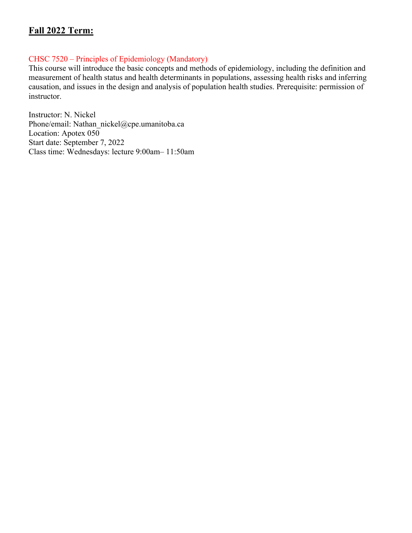## **Fall 2022 Term:**

#### CHSC 7520 – Principles of Epidemiology (Mandatory)

This course will introduce the basic concepts and methods of epidemiology, including the definition and measurement of health status and health determinants in populations, assessing health risks and inferring causation, and issues in the design and analysis of population health studies. Prerequisite: permission of instructor.

Instructor: N. Nickel Phone/email: Nathan\_nickel@cpe.umanitoba.ca Location: Apotex 050 Start date: September 7, 2022 Class time: Wednesdays: lecture 9:00am– 11:50am